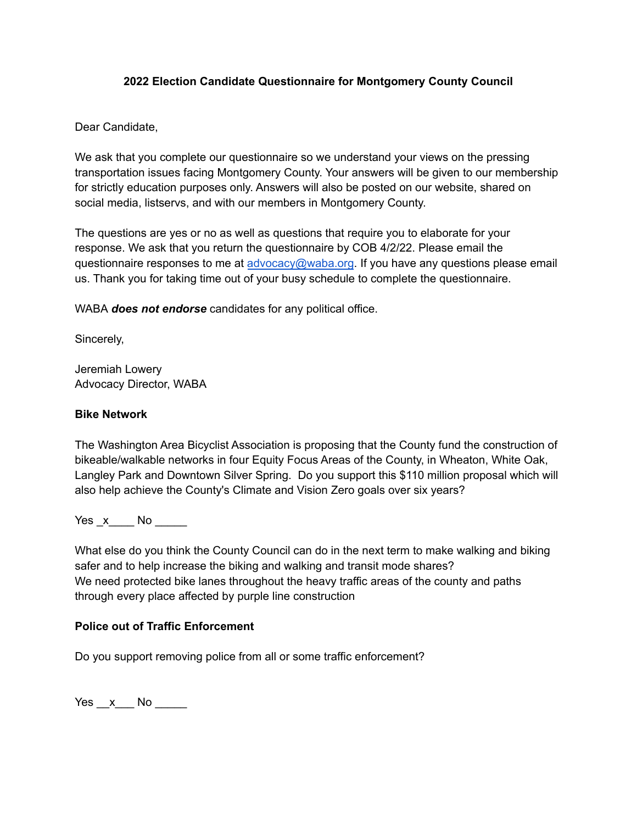## **2022 Election Candidate Questionnaire for Montgomery County Council**

Dear Candidate,

We ask that you complete our questionnaire so we understand your views on the pressing transportation issues facing Montgomery County. Your answers will be given to our membership for strictly education purposes only. Answers will also be posted on our website, shared on social media, listservs, and with our members in Montgomery County.

The questions are yes or no as well as questions that require you to elaborate for your response. We ask that you return the questionnaire by COB 4/2/22. Please email the questionnaire responses to me at [advocacy@waba.org](mailto:advocacy@waba.org). If you have any questions please email us. Thank you for taking time out of your busy schedule to complete the questionnaire.

WABA *does not endorse* candidates for any political office.

Sincerely,

Jeremiah Lowery Advocacy Director, WABA

# **Bike Network**

The Washington Area Bicyclist Association is proposing that the County fund the construction of bikeable/walkable networks in four Equity Focus Areas of the County, in Wheaton, White Oak, Langley Park and Downtown Silver Spring. Do you support this \$110 million proposal which will also help achieve the County's Climate and Vision Zero goals over six years?

Yes \_x\_\_\_\_ No \_\_\_\_\_

What else do you think the County Council can do in the next term to make walking and biking safer and to help increase the biking and walking and transit mode shares? We need protected bike lanes throughout the heavy traffic areas of the county and paths through every place affected by purple line construction

#### **Police out of Traffic Enforcement**

Do you support removing police from all or some traffic enforcement?

 $Yes \_\ x \_\$  No  $\_\_\_\$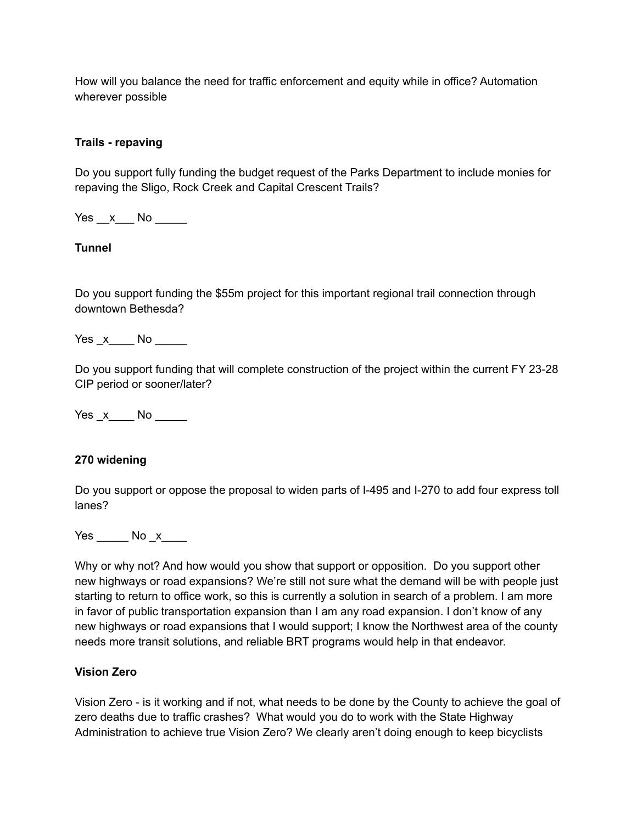How will you balance the need for traffic enforcement and equity while in office? Automation wherever possible

### **Trails - repaving**

Do you support fully funding the budget request of the Parks Department to include monies for repaving the Sligo, Rock Creek and Capital Crescent Trails?

Yes x No  $\overline{a}$ 

## **Tunnel**

Do you support funding the \$55m project for this important regional trail connection through downtown Bethesda?

Yes x No  $\overline{a}$ 

Do you support funding that will complete construction of the project within the current FY 23-28 CIP period or sooner/later?

Yes  $x \_$ No  $\_$ 

#### **270 widening**

Do you support or oppose the proposal to widen parts of I-495 and I-270 to add four express toll lanes?

Yes \_\_\_\_\_\_ No \_x\_\_\_\_

Why or why not? And how would you show that support or opposition. Do you support other new highways or road expansions? We're still not sure what the demand will be with people just starting to return to office work, so this is currently a solution in search of a problem. I am more in favor of public transportation expansion than I am any road expansion. I don't know of any new highways or road expansions that I would support; I know the Northwest area of the county needs more transit solutions, and reliable BRT programs would help in that endeavor.

### **Vision Zero**

Vision Zero - is it working and if not, what needs to be done by the County to achieve the goal of zero deaths due to traffic crashes? What would you do to work with the State Highway Administration to achieve true Vision Zero? We clearly aren't doing enough to keep bicyclists